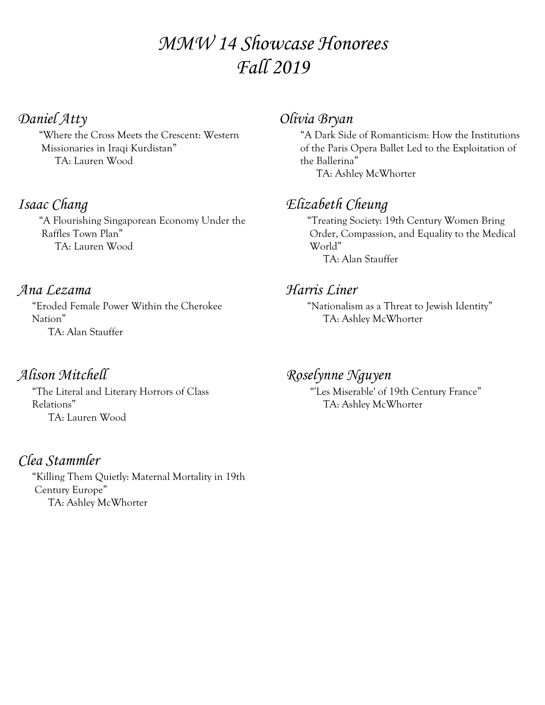# *MMW 14 Showcase Honorees Fall 2019*

## *Daniel Atty*

 "Where the Cross Meets the Crescent: Western Missionaries in Iraqi Kurdistan" TA: Lauren Wood

## *Isaac Chang*

 "A Flourishing Singaporean Economy Under the Raffles Town Plan" TA: Lauren Wood

#### *Ana Lezama*

 "Eroded Female Power Within the Cherokee Nation" TA: Alan Stauffer

## *Alison Mitchell*

 "The Literal and Literary Horrors of Class Relations" TA: Lauren Wood

#### *Clea Stammler* "Killing Them Quietly: Maternal Mortality in 19th Century Europe" TA: Ashley McWhorter

### *Olivia Bryan*

 "A Dark Side of Romanticism: How the Institutions of the Paris Opera Ballet Led to the Exploitation of the Ballerina" TA: Ashley McWhorter

# *Elizabeth Cheung*

 "Treating Society: 19th Century Women Bring Order, Compassion, and Equality to the Medical World" TA: Alan Stauffer

#### *Harris Liner*

 "Nationalism as a Threat to Jewish Identity" TA: Ashley McWhorter

### *Roselynne Nguyen*

 "'Les Miserable' of 19th Century France" TA: Ashley McWhorter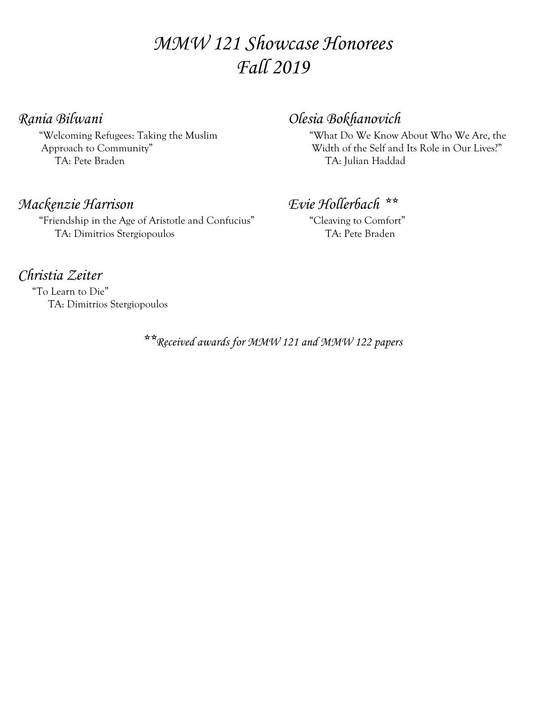# *MMW 121 Showcase Honorees Fall 2019*

#### *Rania Bilwani*

 "Welcoming Refugees: Taking the Muslim Approach to Community" TA: Pete Braden

## *Mackenzie Harrison*

 "Friendship in the Age of Aristotle and Confucius" TA: Dimitrios Stergiopoulos

## *Olesia Bokhanovich*

 "What Do We Know About Who We Are, the Width of the Self and Its Role in Our Lives?" TA: Julian Haddad

## *Evie Hollerbach \*\**

 "Cleaving to Comfort" TA: Pete Braden

## *Christia Zeiter*

 "To Learn to Die" TA: Dimitrios Stergiopoulos

*\*\*Received awards for MMW 121 and MMW 122 papers*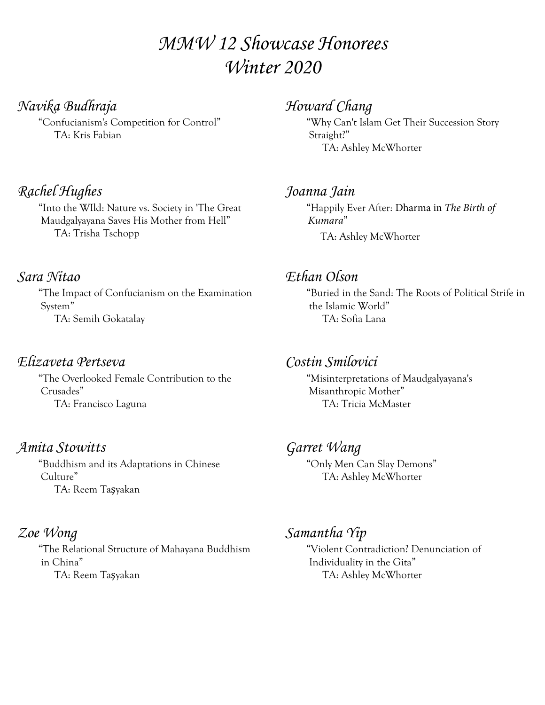# *MMW 12 Showcase Honorees Winter 2020*

#### *Navika Budhraja*

 "Confucianism's Competition for Control" TA: Kris Fabian

## *Rachel Hughes*

 "Into the WIld: Nature vs. Society in 'The Great Maudgalyayana Saves His Mother from Hell" TA: Trisha Tschopp

#### *Sara Nitao*

 "The Impact of Confucianism on the Examination System" TA: Semih Gokatalay

## *Elizaveta Pertseva*

 "The Overlooked Female Contribution to the Crusades" TA: Francisco Laguna

## *Amita Stowitts*

 "Buddhism and its Adaptations in Chinese Culture" TA: Reem Taşyakan

#### *Zoe Wong*

 "The Relational Structure of Mahayana Buddhism in China" TA: Reem Taşyakan

## *Howard Chang*

 "Why Can't Islam Get Their Succession Story Straight?" TA: Ashley McWhorter

#### *Joanna Jain*

 "Happily Ever After: Dharma in *The Birth of Kumara*" TA: Ashley McWhorter

## *Ethan Olson*

 "Buried in the Sand: The Roots of Political Strife in the Islamic World" TA: Sofia Lana

## *Costin Smilovici*

 "Misinterpretations of Maudgalyayana's Misanthropic Mother" TA: Tricia McMaster

#### *Garret Wang*

 "Only Men Can Slay Demons" TA: Ashley McWhorter

## *Samantha Yip*

 "Violent Contradiction? Denunciation of Individuality in the Gita" TA: Ashley McWhorter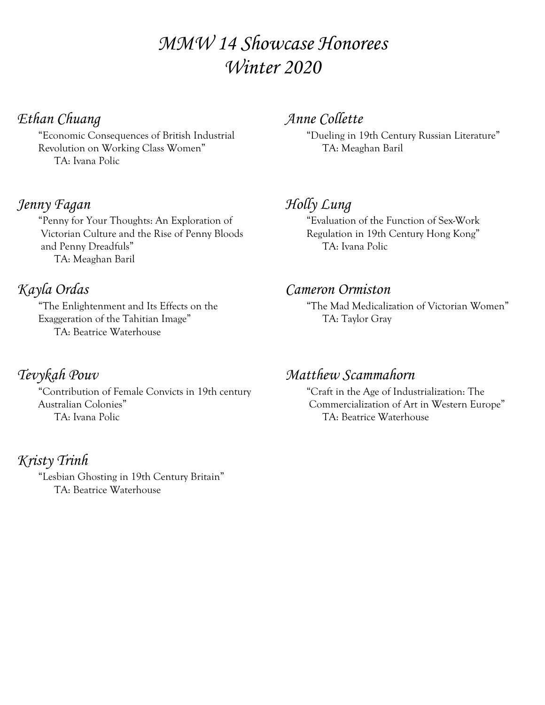# *MMW 14 Showcase Honorees Winter 2020*

## *Ethan Chuang*

 "Economic Consequences of British Industrial Revolution on Working Class Women" TA: Ivana Polic

#### *Jenny Fagan*

 "Penny for Your Thoughts: An Exploration of Victorian Culture and the Rise of Penny Bloods and Penny Dreadfuls" TA: Meaghan Baril

## *Kayla Ordas*

 "The Enlightenment and Its Effects on the Exaggeration of the Tahitian Image" TA: Beatrice Waterhouse

## *Tevykah Pouv*

 "Contribution of Female Convicts in 19th century Australian Colonies" TA: Ivana Polic

*Kristy Trinh* "Lesbian Ghosting in 19th Century Britain" TA: Beatrice Waterhouse

## *Anne Collette*

 "Dueling in 19th Century Russian Literature" TA: Meaghan Baril

## *Holly Lung*

 "Evaluation of the Function of Sex-Work Regulation in 19th Century Hong Kong" TA: Ivana Polic

#### *Cameron Ormiston*

 "The Mad Medicalization of Victorian Women" TA: Taylor Gray

#### *Matthew Scammahorn*

 "Craft in the Age of Industrialization: The Commercialization of Art in Western Europe" TA: Beatrice Waterhouse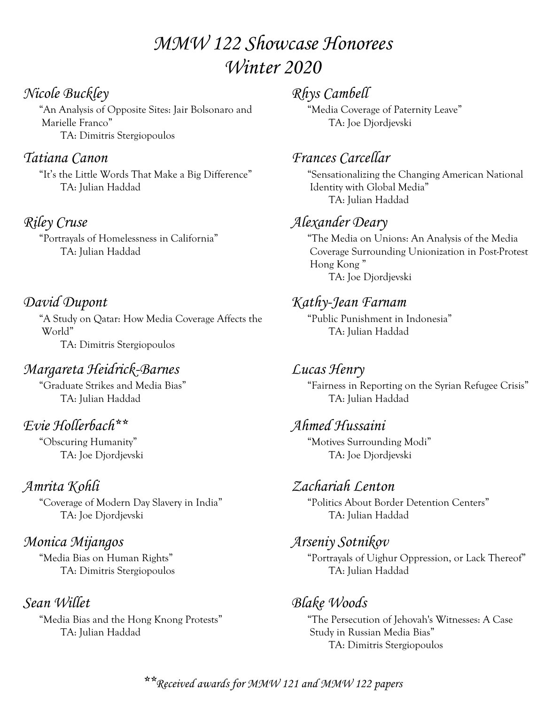# *MMW 122 Showcase Honorees Winter 2020*

## *Nicole Buckley*

 "An Analysis of Opposite Sites: Jair Bolsonaro and Marielle Franco" TA: Dimitris Stergiopoulos

## *Tatiana Canon*

 "It's the Little Words That Make a Big Difference" TA: Julian Haddad

## *Riley Cruse*

 "Portrayals of Homelessness in California" TA: Julian Haddad

## *David Dupont*

 "A Study on Qatar: How Media Coverage Affects the World" TA: Dimitris Stergiopoulos

## *Margareta Heidrick-Barnes*

 "Graduate Strikes and Media Bias" TA: Julian Haddad

# *Evie Hollerbach\*\**

 "Obscuring Humanity" TA: Joe Djordjevski

## *Amrita Kohli*

 "Coverage of Modern Day Slavery in India" TA: Joe Djordjevski

## *Monica Mijangos*

 "Media Bias on Human Rights" TA: Dimitris Stergiopoulos

## *Sean Willet*

 "Media Bias and the Hong Knong Protests" TA: Julian Haddad

## *Rhys Cambell*

 "Media Coverage of Paternity Leave" TA: Joe Djordjevski

## *Frances Carcellar*

 "Sensationalizing the Changing American National Identity with Global Media" TA: Julian Haddad

## *Alexander Deary*

 "The Media on Unions: An Analysis of the Media Coverage Surrounding Unionization in Post-Protest Hong Kong " TA: Joe Djordjevski

## *Kathy-Jean Farnam*

 "Public Punishment in Indonesia" TA: Julian Haddad

## *Lucas Henry*

 "Fairness in Reporting on the Syrian Refugee Crisis" TA: Julian Haddad

## *Ahmed Hussaini*

 "Motives Surrounding Modi" TA: Joe Djordjevski

## *Zachariah Lenton*

 "Politics About Border Detention Centers" TA: Julian Haddad

### *Arseniy Sotnikov*

 "Portrayals of Uighur Oppression, or Lack Thereof" TA: Julian Haddad

## *Blake Woods*

 "The Persecution of Jehovah's Witnesses: A Case Study in Russian Media Bias" TA: Dimitris Stergiopoulos

*\*\*Received awards for MMW 121 and MMW 122 papers*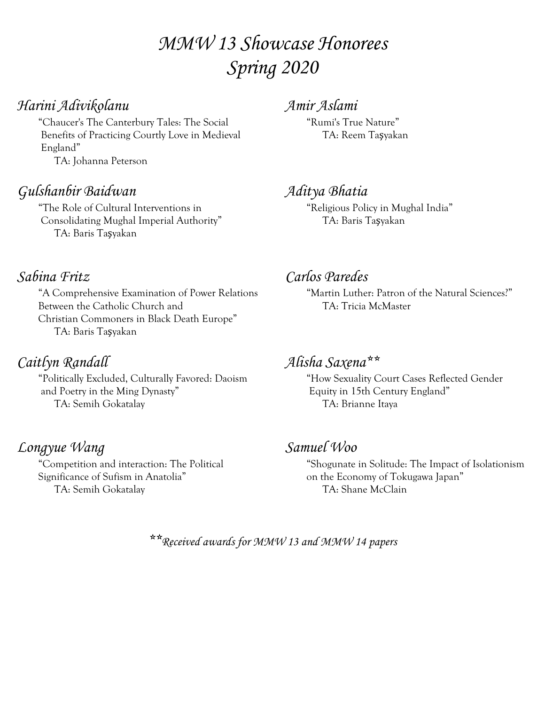# *MMW 13 Showcase Honorees Spring 2020*

## *Harini Adivikolanu*

 "Chaucer's The Canterbury Tales: The Social Benefits of Practicing Courtly Love in Medieval England" TA: Johanna Peterson

### *Gulshanbir Baidwan*

 "The Role of Cultural Interventions in Consolidating Mughal Imperial Authority" TA: Baris Taşyakan

## *Sabina Fritz*

 "A Comprehensive Examination of Power Relations Between the Catholic Church and Christian Commoners in Black Death Europe" TA: Baris Taşyakan

## *Caitlyn Randall*

 "Politically Excluded, Culturally Favored: Daoism and Poetry in the Ming Dynasty" TA: Semih Gokatalay

## *Longyue Wang*

 "Competition and interaction: The Political Significance of Sufism in Anatolia" TA: Semih Gokatalay

*Amir Aslami*

 "Rumi's True Nature" TA: Reem Taşyakan

## *Aditya Bhatia*

 "Religious Policy in Mughal India" TA: Baris Taşyakan

## *Carlos Paredes*

 "Martin Luther: Patron of the Natural Sciences?" TA: Tricia McMaster

## *Alisha Saxena\*\**

 "How Sexuality Court Cases Reflected Gender Equity in 15th Century England" TA: Brianne Itaya

### *Samuel Woo*

 "Shogunate in Solitude: The Impact of Isolationism on the Economy of Tokugawa Japan" TA: Shane McClain

*\*\*Received awards for MMW 13 and MMW 14 papers*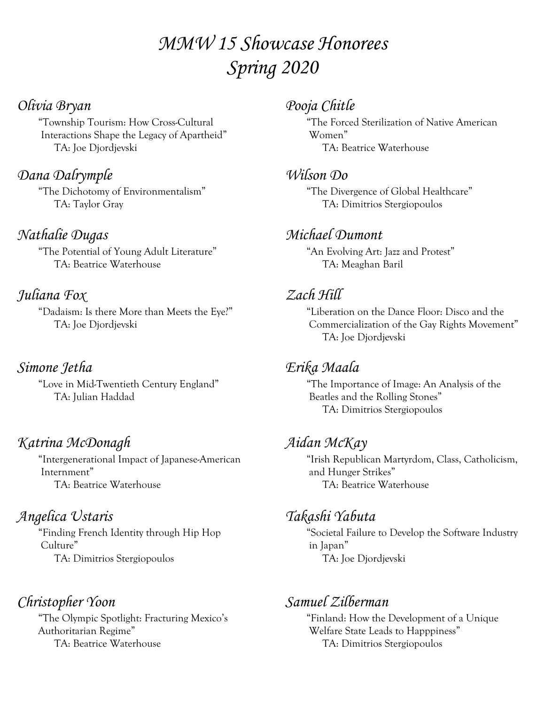# *MMW 15 Showcase Honorees Spring 2020*

## *Olivia Bryan*

 "Township Tourism: How Cross-Cultural Interactions Shape the Legacy of Apartheid" TA: Joe Djordjevski

## *Dana Dalrymple*

 "The Dichotomy of Environmentalism" TA: Taylor Gray

## *Nathalie Dugas*

 "The Potential of Young Adult Literature" TA: Beatrice Waterhouse

# *Juliana Fox*

 "Dadaism: Is there More than Meets the Eye?" TA: Joe Djordjevski

# *Simone Jetha*

 "Love in Mid-Twentieth Century England" TA: Julian Haddad

# *Katrina McDonagh*

 "Intergenerational Impact of Japanese-American Internment" TA: Beatrice Waterhouse

# *Angelica Ustaris*

 "Finding French Identity through Hip Hop Culture" TA: Dimitrios Stergiopoulos

# *Christopher Yoon*

 "The Olympic Spotlight: Fracturing Mexico's Authoritarian Regime" TA: Beatrice Waterhouse

# *Pooja Chitle*

 "The Forced Sterilization of Native American Women" TA: Beatrice Waterhouse

## *Wilson Do*

 "The Divergence of Global Healthcare" TA: Dimitrios Stergiopoulos

## *Michael Dumont*

 "An Evolving Art: Jazz and Protest" TA: Meaghan Baril

## *Zach Hill*

"Liberation on the Dance Floor: Disco and the Commercialization of the Gay Rights Movement" TA: Joe Djordjevski

# *Erika Maala*

 "The Importance of Image: An Analysis of the Beatles and the Rolling Stones" TA: Dimitrios Stergiopoulos

# *Aidan McKay*

 "Irish Republican Martyrdom, Class, Catholicism, and Hunger Strikes" TA: Beatrice Waterhouse

# *Takashi Yabuta*

"Societal Failure to Develop the Software Industry in Japan" TA: Joe Djordjevski

## *Samuel Zilberman*

 "Finland: How the Development of a Unique Welfare State Leads to Happpiness" TA: Dimitrios Stergiopoulos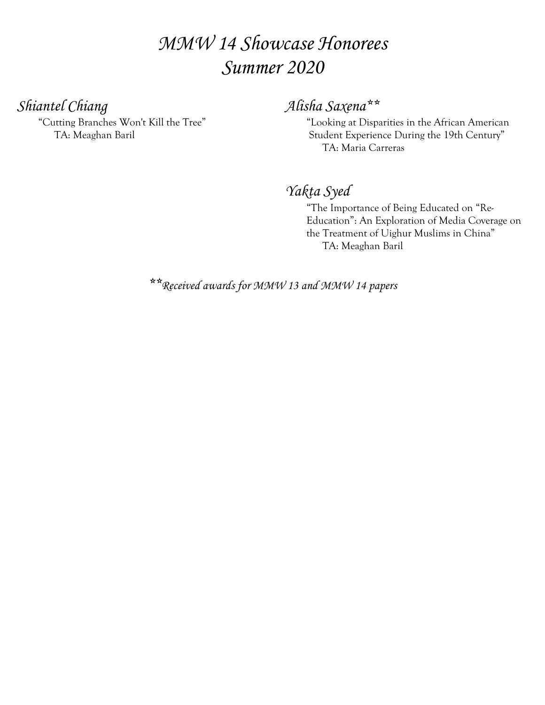# *MMW 14 Showcase Honorees Summer 2020*

*Shiantel Chiang*

 "Cutting Branches Won't Kill the Tree" TA: Meaghan Baril

## *Alisha Saxena\*\**

 "Looking at Disparities in the African American Student Experience During the 19th Century" TA: Maria Carreras

*Yakta Syed*

 "The Importance of Being Educated on "Re- Education": An Exploration of Media Coverage on the Treatment of Uighur Muslims in China" TA: Meaghan Baril

*\*\*Received awards for MMW 13 and MMW 14 papers*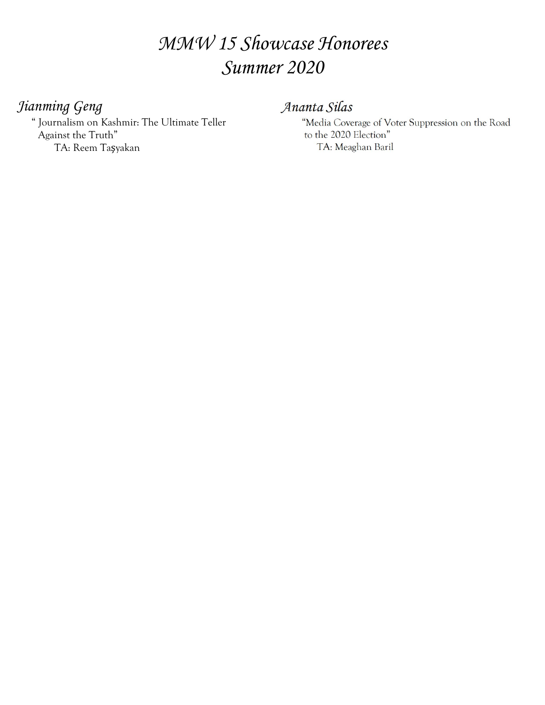# *MMW 15 Showcase Honorees Summer 2020*

### *Jianming Geng*

 " Journalism on Kashmir: The Ultimate Teller Against the Truth" TA: Reem Taşyakan

#### Ananta Silas

"Media Coverage of Voter Suppression on the Road to the 2020 Election" TA: Meaghan Baril